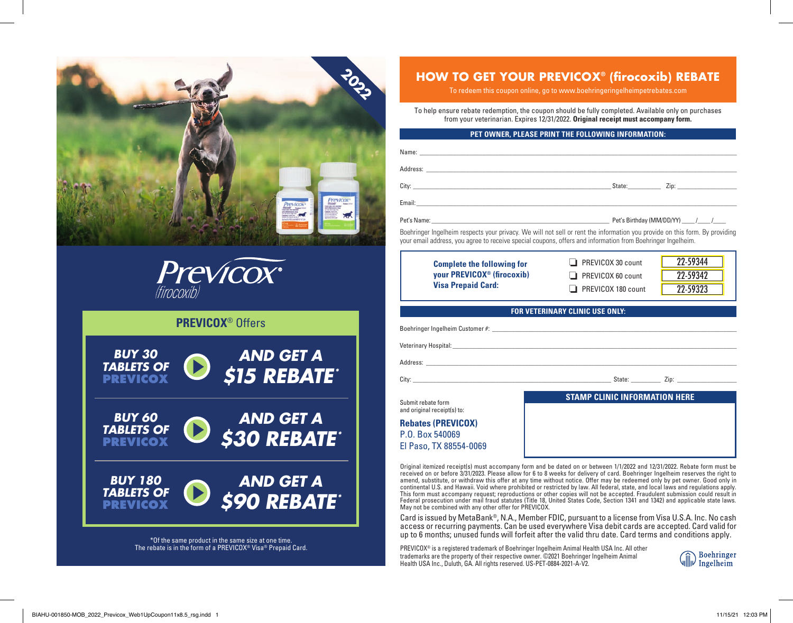



## **PREVICOX**® Offers



\*Of the same product in the same size at one time. The rebate is in the form of a PREVICOX® Visa® Prepaid Card.

# **HOW TO GET YOUR PREVICOX® (fi rocoxib) REBATE**

To redeem this coupon online, go to www.boehringeringelheimpetrebates.com

To help ensure rebate redemption, the coupon should be fully completed. Available only on purchases from your veterinarian. Expires 12/31/2022. **Original receipt must accompany form.**

### **PET OWNER, PLEASE PRINT THE FOLLOWING INFORMATION:**

|  | Pet's Birthday (MM/DD/YY) ______/ ______/ |  |
|--|-------------------------------------------|--|

Boehringer Ingelheim respects your privacy. We will not sell or rent the information you provide on this form. By providing your email address, you agree to receive special coupons, offers and information from Boehringer Ingelheim.

| <b>Complete the following for</b>      | $\Box$ PREVICOX 30 count  | 22-59344 |
|----------------------------------------|---------------------------|----------|
| your PREVICOX <sup>®</sup> (firocoxib) | $\Box$ PREVICOX 60 count  | 22-59342 |
| <b>Visa Prepaid Card:</b>              | $\Box$ PREVICOX 180 count | 22-59323 |

**FOR VETERINARY CLINIC USE ONLY:**

Boehringer Ingelheim Customer #: \_\_\_\_\_\_\_\_\_\_\_\_\_\_\_\_\_\_\_\_\_\_\_\_\_\_\_\_\_\_\_\_\_\_\_\_\_\_\_\_\_\_\_\_\_\_\_\_\_\_\_\_\_\_\_\_\_\_\_\_\_\_\_\_\_\_\_\_\_\_\_\_\_\_ Veterinary Hospital: \_\_\_\_\_\_\_\_\_\_\_\_\_\_\_\_\_\_\_\_\_\_\_\_\_\_\_\_\_\_\_\_\_\_\_\_\_\_\_\_\_\_\_\_\_\_\_\_\_\_\_\_\_\_\_\_\_\_\_\_\_\_\_\_\_\_\_\_\_\_\_\_\_\_\_\_\_\_\_\_\_\_\_\_\_\_ Address: \_\_\_\_\_\_\_\_\_\_\_\_\_\_\_\_\_\_\_\_\_\_\_\_\_\_\_\_\_\_\_\_\_\_\_\_\_\_\_\_\_\_\_\_\_\_\_\_\_\_\_\_\_\_\_\_\_\_\_\_\_\_\_\_\_\_\_\_\_\_\_\_\_\_\_\_\_\_\_\_\_\_\_\_\_\_\_\_\_\_\_\_\_\_ City: \_\_\_\_\_\_\_\_\_\_\_\_\_\_\_\_\_\_\_\_\_\_\_\_\_\_\_\_\_\_\_\_\_\_\_\_\_\_\_\_\_\_\_\_\_\_\_\_\_\_\_\_\_\_\_\_\_\_\_\_ State: \_\_\_\_\_\_\_\_\_ Zip: \_\_\_\_\_\_\_\_\_\_\_\_\_\_\_\_\_\_ Submit rebate form and original receipt(s) to: **Rebates (PREVICOX)** P.O. Box 540069 El Paso, TX 88554-0069 **STAMP CLINIC INFORMATION HERE**

Original itemized receipt(s) must accompany form and be dated on or between 1/1/2022 and 12/31/2022. Rebate form must be<br>received on or before 3/31/2023. Please allow for 6 to 8 weeks for delivery of card. Boehringer Ingel amend, substitute, or withdraw this offer at any time without notice. Offer may be redeemed only by pet owner. Good only in<br>continental U.S. and Hawaii. Void where prohibited or restricted by law. All federal, state, and l This form must accompany request; reproductions or other copies will not be accepted. Fraudulent submission could result in Federal prosecution under mail fraud statutes (Title 18, United States Code, Section 1341 and 1342) and applicable state laws. May not be combined with any other offer for PREVICOX.

Card is issued by MetaBank®, N.A., Member FDIC, pursuant to a license from Visa U.S.A. Inc. No cash access or recurring payments. Can be used everywhere Visa debit cards are accepted. Card valid for up to 6 months; unused funds will forfeit after the valid thru date. Card terms and conditions apply.

PREVICOX® is a registered trademark of Boehringer Ingelheim Animal Health USA Inc. All other trademarks are the property of their respective owner. ©2021 Boehringer Ingelheim Animal Health USA Inc., Duluth, GA. All rights reserved. US-PET-0884-2021-A-V2.

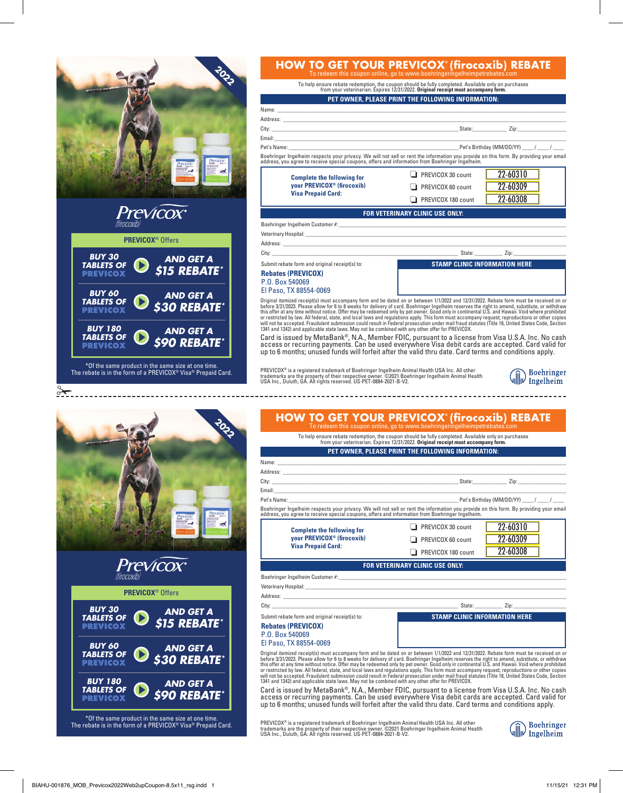|                                                                                                                                            |                                                                                                                                                                                                                                                                       | <b>HOW TO GET YOUR PREVICOX® (firocoxib) REBATE</b>                                                                                                                                                                                                                                                                                                                                |  |  |
|--------------------------------------------------------------------------------------------------------------------------------------------|-----------------------------------------------------------------------------------------------------------------------------------------------------------------------------------------------------------------------------------------------------------------------|------------------------------------------------------------------------------------------------------------------------------------------------------------------------------------------------------------------------------------------------------------------------------------------------------------------------------------------------------------------------------------|--|--|
|                                                                                                                                            | To redeem this coupon online, go to www.boehringeringelheimpetrebates.com<br>To help ensure rebate redemption, the coupon should be fully completed. Available only on purchases<br>from your veterinarian. Expires 12/31/2022. Original receipt must accompany form. |                                                                                                                                                                                                                                                                                                                                                                                    |  |  |
|                                                                                                                                            |                                                                                                                                                                                                                                                                       | PET OWNER, PLEASE PRINT THE FOLLOWING INFORMATION:                                                                                                                                                                                                                                                                                                                                 |  |  |
|                                                                                                                                            |                                                                                                                                                                                                                                                                       |                                                                                                                                                                                                                                                                                                                                                                                    |  |  |
|                                                                                                                                            |                                                                                                                                                                                                                                                                       |                                                                                                                                                                                                                                                                                                                                                                                    |  |  |
|                                                                                                                                            |                                                                                                                                                                                                                                                                       | Boehringer Ingelheim respects your privacy. We will not sell or rent the information you provide on this form. By providing your email<br>address, you agree to receive special coupons, offers and information from Boehringer I                                                                                                                                                  |  |  |
|                                                                                                                                            |                                                                                                                                                                                                                                                                       |                                                                                                                                                                                                                                                                                                                                                                                    |  |  |
|                                                                                                                                            | <b>Complete the following for</b><br>your PREVICOX <sup>®</sup> (firocoxib)<br><b>Visa Prepaid Card:</b>                                                                                                                                                              | 22-60310<br>$\Box$ PREVICOX 30 count<br>22-60309<br>$\Box$ PREVICOX 60 count<br>22-60308<br>$\Box$ PREVICOX 180 count                                                                                                                                                                                                                                                              |  |  |
|                                                                                                                                            |                                                                                                                                                                                                                                                                       |                                                                                                                                                                                                                                                                                                                                                                                    |  |  |
| <i>Previcox</i> <sup>®</sup>                                                                                                               |                                                                                                                                                                                                                                                                       | FOR VETERINARY CLINIC USE ONLY:                                                                                                                                                                                                                                                                                                                                                    |  |  |
|                                                                                                                                            |                                                                                                                                                                                                                                                                       |                                                                                                                                                                                                                                                                                                                                                                                    |  |  |
| <b>PREVICOX<sup>®</sup></b> Offers                                                                                                         |                                                                                                                                                                                                                                                                       |                                                                                                                                                                                                                                                                                                                                                                                    |  |  |
| <b>BUY 30</b>                                                                                                                              |                                                                                                                                                                                                                                                                       |                                                                                                                                                                                                                                                                                                                                                                                    |  |  |
| <b>AND GET A</b><br><b>TABLETS OF</b>                                                                                                      | Submit rebate form and original receipt(s) to:                                                                                                                                                                                                                        | <b>STAMP CLINIC INFORMATION HERE</b>                                                                                                                                                                                                                                                                                                                                               |  |  |
| \$15 REBATE*<br><b>PREVICOX</b>                                                                                                            | <b>Rebates (PREVICOX)</b><br>P.O. Box 540069                                                                                                                                                                                                                          |                                                                                                                                                                                                                                                                                                                                                                                    |  |  |
| <b>BUY 60</b><br><b>AND GET A</b>                                                                                                          | El Paso, TX 88554-0069                                                                                                                                                                                                                                                |                                                                                                                                                                                                                                                                                                                                                                                    |  |  |
| <b>TABLETS OF</b><br><b>\$30 REBATE*</b><br>PREVICOX                                                                                       |                                                                                                                                                                                                                                                                       | Original itemized receipt(s) must accompany form and be dated on or between 1/1/2022 and 12/31/2022. Rebate form must be received on or before 3/31/2023. Please allow for 6 to 8 weeks for delivery of card. Boehringer Ingel                                                                                                                                                     |  |  |
| <b>BUY 180</b><br><b>AND GET A</b>                                                                                                         |                                                                                                                                                                                                                                                                       |                                                                                                                                                                                                                                                                                                                                                                                    |  |  |
| <b>TABLETS OF</b><br><b>\$90 REBATE*</b><br>PREVICOX                                                                                       |                                                                                                                                                                                                                                                                       | Card is issued by MetaBank®, N.A., Member FDIC, pursuant to a license from Visa U.S.A. Inc. No cash<br>access or recurring payments. Can be used everywhere Visa debit cards are accepted. Card valid for<br>up to 6 months; unused funds will forfeit after the valid thru date. Card terms and conditions apply.                                                                 |  |  |
|                                                                                                                                            |                                                                                                                                                                                                                                                                       |                                                                                                                                                                                                                                                                                                                                                                                    |  |  |
| <i>*Of the same product in the same size at one time.</i><br>The rebate is in the form of a PREVICOX® Visa® Prepaid Card.                  | PREVICOX® is a registered trademark of Boehringer Ingelheim Animal Health USA Inc. All other<br>trademarks are the property of their respective owner. @2021 Boehringer Ingelheim Animal Health<br>USA Inc., Duluth, GA. All rights reserved. US-PET-0884-2021-B-V2.  | Boehringer<br>Ingelheim                                                                                                                                                                                                                                                                                                                                                            |  |  |
|                                                                                                                                            |                                                                                                                                                                                                                                                                       |                                                                                                                                                                                                                                                                                                                                                                                    |  |  |
|                                                                                                                                            |                                                                                                                                                                                                                                                                       | <b>HOW TO GET YOUR PREVICOX® (firocoxib) REBATE</b><br>To redeem this coupon online, go to www.boehringeringelheimpetrebates.com<br>To help ensure rebate redemption, the coupon should be fully completed. Available only on purchases<br>from your veterinarian. Expires 12/31/2022. Original receipt must accompany form.<br>PET OWNER, PLEASE PRINT THE FOLLOWING INFORMATION: |  |  |
|                                                                                                                                            | Name:                                                                                                                                                                                                                                                                 |                                                                                                                                                                                                                                                                                                                                                                                    |  |  |
|                                                                                                                                            | Address:                                                                                                                                                                                                                                                              | $S$ tate: $\qquad \qquad$<br>$\mathsf{Zip:}\qquad \qquad \qquad \qquad \qquad \qquad \qquad$                                                                                                                                                                                                                                                                                       |  |  |
|                                                                                                                                            | Pet's Name:                                                                                                                                                                                                                                                           | Pet's Birthday (MM/DD/YY) ____/ ____/                                                                                                                                                                                                                                                                                                                                              |  |  |
|                                                                                                                                            | address, you agree to receive special coupons, offers and information from Boehringer Ingelheim.                                                                                                                                                                      | Boehringer Ingelheim respects your privacy. We will not sell or rent the information you provide on this form. By providing your email                                                                                                                                                                                                                                             |  |  |
|                                                                                                                                            |                                                                                                                                                                                                                                                                       | 22-60310                                                                                                                                                                                                                                                                                                                                                                           |  |  |
|                                                                                                                                            | <b>Complete the following for</b><br>your PREVICOX <sup>®</sup> (firocoxib)                                                                                                                                                                                           | PREVICOX 30 count                                                                                                                                                                                                                                                                                                                                                                  |  |  |
|                                                                                                                                            | <b>Visa Prepaid Card:</b>                                                                                                                                                                                                                                             | 22-60309<br>$\Box$ PREVICOX 60 count                                                                                                                                                                                                                                                                                                                                               |  |  |
|                                                                                                                                            |                                                                                                                                                                                                                                                                       | 22-60308<br>$\Box$ PREVICOX 180 count                                                                                                                                                                                                                                                                                                                                              |  |  |
| <i>Previcox</i> <sup>®</sup>                                                                                                               |                                                                                                                                                                                                                                                                       | FOR VETERINARY CLINIC USE ONLY:                                                                                                                                                                                                                                                                                                                                                    |  |  |
| tirocoxibi                                                                                                                                 |                                                                                                                                                                                                                                                                       |                                                                                                                                                                                                                                                                                                                                                                                    |  |  |
| <b>PREVICOX<sup>®</sup></b> Offers                                                                                                         |                                                                                                                                                                                                                                                                       | Veterinary Hospital: University of the Community of the Community of the Community of the Community of the Community of the Community of the Community of the Community of the Community of the Community of the Community of                                                                                                                                                      |  |  |
|                                                                                                                                            |                                                                                                                                                                                                                                                                       |                                                                                                                                                                                                                                                                                                                                                                                    |  |  |
| <b>BUY 30</b><br><b>AND GET A</b><br><b>TABLETS OF</b>                                                                                     | Submit rebate form and original receipt(s) to:                                                                                                                                                                                                                        | <b>STAMP CLINIC INFORMATION HERE</b>                                                                                                                                                                                                                                                                                                                                               |  |  |
| \$15 REBATE*<br>PREVICOX                                                                                                                   | <b>Rebates (PREVICOX)</b>                                                                                                                                                                                                                                             |                                                                                                                                                                                                                                                                                                                                                                                    |  |  |
|                                                                                                                                            | P.O. Box 540069                                                                                                                                                                                                                                                       |                                                                                                                                                                                                                                                                                                                                                                                    |  |  |
| <b>BUY 60</b><br><b>AND GET A</b><br><b>TABLETS OF</b><br><b>\$30 REBATE*</b><br><b>PREVICOX</b>                                           | El Paso, TX 88554-0069                                                                                                                                                                                                                                                | Original itemized receipt(s) must accompany form and be dated on or between 1/1/2022 and 12/31/2022. Rebate form must be received on or                                                                                                                                                                                                                                            |  |  |
|                                                                                                                                            |                                                                                                                                                                                                                                                                       | before 3/31/2023. Please allow for 6 to 8 weeks for delivery of card. Boehringer Ingelheim reserves the right to amend, substitute, or withdraw<br>before 3/31/2023. Please allow for 6 to 8 weeks for delivery of card. Boehring                                                                                                                                                  |  |  |
| <b>BUY 180</b><br><b>AND GET A</b><br><b>TABLETS OF</b><br>\$90 REBATE*<br><b>PREVICOX</b>                                                 | 1341 and 1342) and applicable state laws. May not be combined with any other offer for PREVICOX.                                                                                                                                                                      | Card is issued by MetaBank®, N.A., Member FDIC, pursuant to a license from Visa U.S.A. Inc. No cash access or recurring payments. Can be used everywhere Visa debit cards are accepted. Card valid for<br>up to 6 months; unused funds will forfeit after the valid thru date. Card terms and conditions apply.                                                                    |  |  |
| *Of the same product in the same size at one time.<br>The rebate is in the form of a PREVICOX <sup>®</sup> Visa <sup>®</sup> Prepaid Card. | PREVICOX® is a registered trademark of Boehringer Ingelheim Animal Health USA Inc. All other<br>trademarks are the property of their respective owner. ©2021 Boehringer Ingelheim Animal Health<br>USA Inc., Duluth, GA. All rights reserved. US-PET-0884-2021-B-V2.  | <b>Boehringer</b><br>$\sqrt{\ \cdot\ }$ Ingelheim                                                                                                                                                                                                                                                                                                                                  |  |  |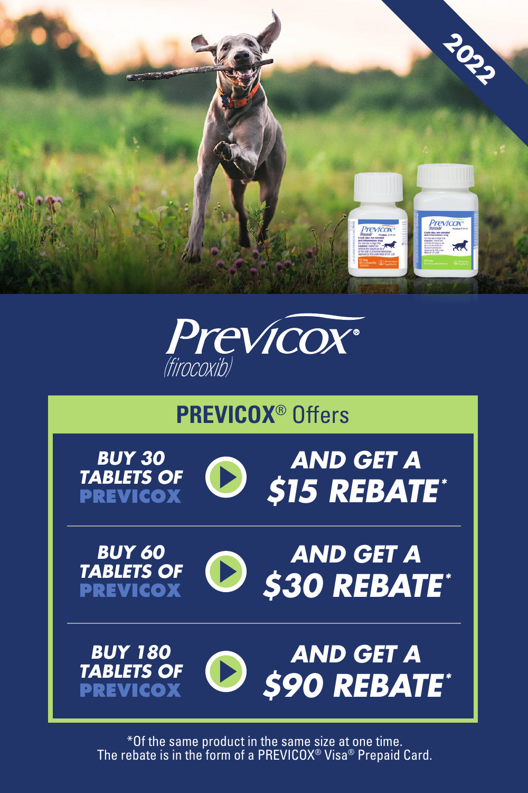



# **PREVICOX**® Offers











*BUY 180 TABLETS OF* **PREVICOX**



\*Of the same product in the same size at one time. The rebate is in the form of a PREVICOX® Visa® Prepaid Card.